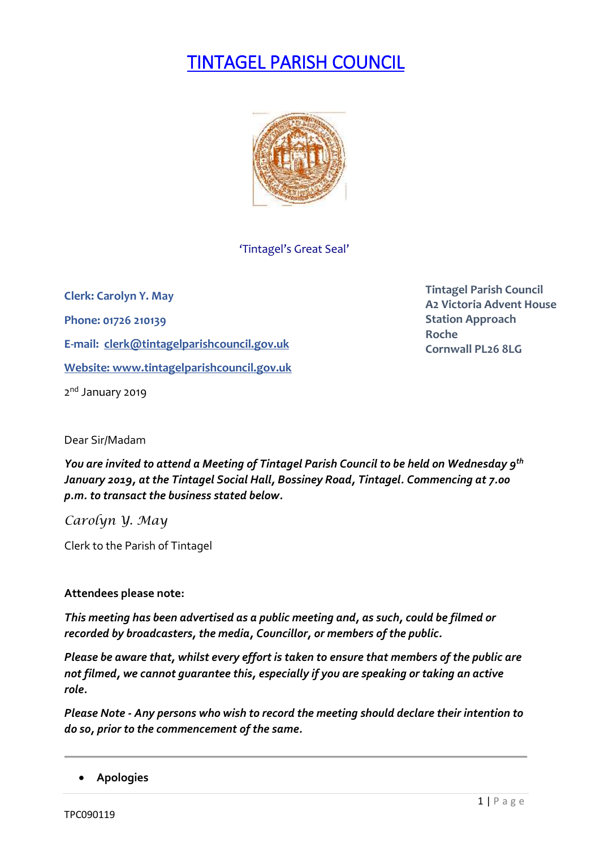# TINTAGEL PARISH COUNCIL



## 'Tintagel's Great Seal'

**Clerk: Carolyn Y. May Phone: 01726 210139 E-mail: [clerk@tintagelparishcouncil.gov.uk](mailto:clerk@tintagelparishcouncil.gov.uk) Website: [www.tintagelparishcouncil.gov.uk](http://www.tintagelparishcouncil.gov.uk/)** 2<sup>nd</sup> January 2019

**Tintagel Parish Council A2 Victoria Advent House Station Approach Roche Cornwall PL26 8LG**

Dear Sir/Madam

*You are invited to attend a Meeting of Tintagel Parish Council to be held on Wednesday 9 th January 2019, at the Tintagel Social Hall, Bossiney Road, Tintagel. Commencing at 7.00 p.m. to transact the business stated below.*

*Carolyn Y. May*

Clerk to the Parish of Tintagel

## **Attendees please note:**

*This meeting has been advertised as a public meeting and, as such, could be filmed or recorded by broadcasters, the media, Councillor, or members of the public.*

*Please be aware that, whilst every effort is taken to ensure that members of the public are not filmed, we cannot guarantee this, especially if you are speaking or taking an active role.*

*Please Note - Any persons who wish to record the meeting should declare their intention to do so, prior to the commencement of the same.*

• **Apologies**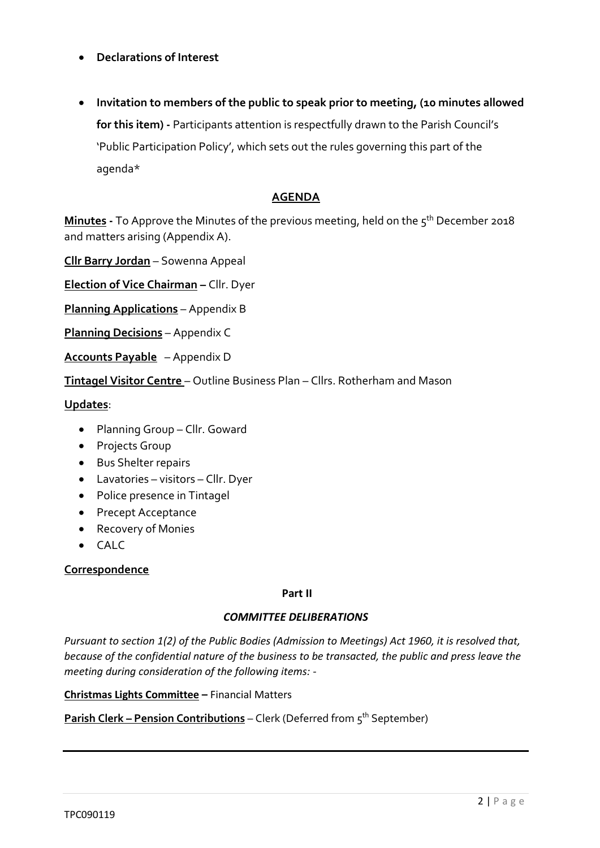### • **Declarations of Interest**

• **Invitation to members of the public to speak prior to meeting, (10 minutes allowed for this item) -** Participants attention is respectfully drawn to the Parish Council's 'Public Participation Policy', which sets out the rules governing this part of the agenda\*

# **AGENDA**

**Minutes -** To Approve the Minutes of the previous meeting, held on the 5 th December 2018 and matters arising (Appendix A).

**Cllr Barry Jordan** – Sowenna Appeal

**Election of Vice Chairman –** Cllr. Dyer

**Planning Applications** – Appendix B

**Planning Decisions** – Appendix C

**Accounts Payable** – Appendix D

**Tintagel Visitor Centre** – Outline Business Plan – Cllrs. Rotherham and Mason

**Updates**:

- Planning Group Cllr. Goward
- Projects Group
- Bus Shelter repairs
- Lavatories visitors Cllr. Dyer
- Police presence in Tintagel
- Precept Acceptance
- Recovery of Monies
- CALC

#### **Correspondence**

#### **Part II**

#### *COMMITTEE DELIBERATIONS*

*Pursuant to section 1(2) of the Public Bodies (Admission to Meetings) Act 1960, it is resolved that, because of the confidential nature of the business to be transacted, the public and press leave the meeting during consideration of the following items: -*

**Christmas Lights Committee –** Financial Matters

**Parish Clerk – Pension Contributions** – Clerk (Deferred from 5<sup>th</sup> September)